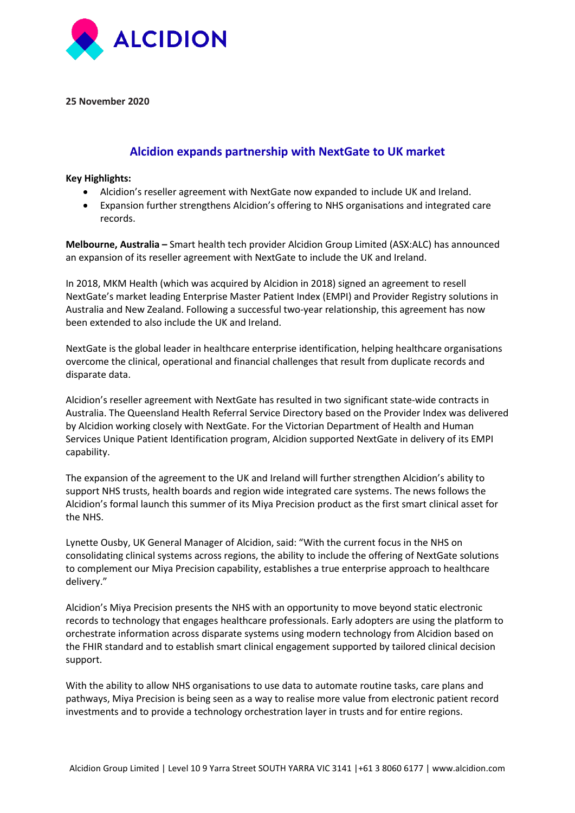

**25 November 2020**

## **Alcidion expands partnership with NextGate to UK market**

**Key Highlights:**

- Alcidion's reseller agreement with NextGate now expanded to include UK and Ireland.
- Expansion further strengthens Alcidion's offering to NHS organisations and integrated care records.

**Melbourne, Australia –** Smart health tech provider Alcidion Group Limited (ASX:ALC) has announced an expansion of its reseller agreement with NextGate to include the UK and Ireland.

In 2018, MKM Health (which was acquired by Alcidion in 2018) signed an agreement to resell NextGate's market leading Enterprise Master Patient Index (EMPI) and Provider Registry solutions in Australia and New Zealand. Following a successful two-year relationship, this agreement has now been extended to also include the UK and Ireland.

NextGate is the global leader in healthcare enterprise identification, helping healthcare organisations overcome the clinical, operational and financial challenges that result from duplicate records and disparate data.

Alcidion's reseller agreement with NextGate has resulted in two significant state-wide contracts in Australia. The Queensland Health Referral Service Directory based on the Provider Index was delivered by Alcidion working closely with NextGate. For the Victorian Department of Health and Human Services Unique Patient Identification program, Alcidion supported NextGate in delivery of its EMPI capability.

The expansion of the agreement to the UK and Ireland will further strengthen Alcidion's ability to support NHS trusts, health boards and region wide integrated care systems. The news follows the Alcidion's formal launch this summer of its Miya Precision product as the first smart clinical asset for the NHS.

Lynette Ousby, UK General Manager of Alcidion, said: "With the current focus in the NHS on consolidating clinical systems across regions, the ability to include the offering of NextGate solutions to complement our Miya Precision capability, establishes a true enterprise approach to healthcare delivery."

Alcidion's Miya Precision presents the NHS with an opportunity to move beyond static electronic records to technology that engages healthcare professionals. Early adopters are using the platform to orchestrate information across disparate systems using modern technology from Alcidion based on the FHIR standard and to establish smart clinical engagement supported by tailored clinical decision support.

With the ability to allow NHS organisations to use data to automate routine tasks, care plans and pathways, Miya Precision is being seen as a way to realise more value from electronic patient record investments and to provide a technology orchestration layer in trusts and for entire regions.